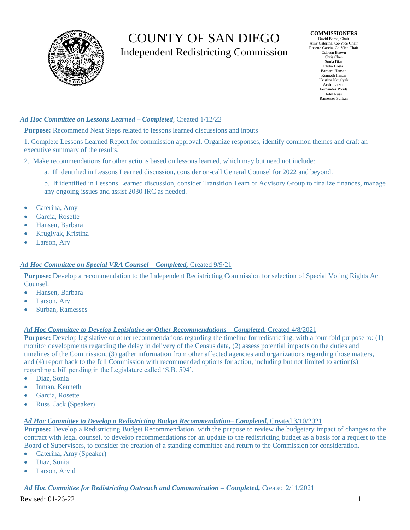# COUNTY OF SAN DIEGO Independent Redistricting Commission

**COMMISSIONERS** David Bame, Chair Amy Caterina, Co-Vice Chair Rosette Garcia, Co-Vice Chair Colleen Brown Chris Chen Sonia Diaz Elidia Dostal Barbara Hansen Kenneth Inman Kristina Kruglyak Arvid Larson Fernandez Ponds John Russ Ramesses Surban

## *Ad Hoc Committee on Lessons Learned – Completed,* Created 1/12/22

**Purpose:** Recommend Next Steps related to lessons learned discussions and inputs

1. Complete Lessons Learned Report for commission approval. Organize responses, identify common themes and draft an executive summary of the results.

- 2. Make recommendations for other actions based on lessons learned, which may but need not include:
	- a. If identified in Lessons Learned discussion, consider on-call General Counsel for 2022 and beyond.

b. If identified in Lessons Learned discussion, consider Transition Team or Advisory Group to finalize finances, manage any ongoing issues and assist 2030 IRC as needed.

- Caterina, Amy
- Garcia, Rosette
- Hansen, Barbara
- Kruglyak, Kristina
- Larson, Arv

## *Ad Hoc Committee on Special VRA Counsel – Completed,* Created 9/9/21

**Purpose:** Develop a recommendation to the Independent Redistricting Commission for selection of Special Voting Rights Act Counsel.

- Hansen, Barbara
- Larson, Arv
- Surban, Ramesses

## *Ad Hoc Committee to Develop Legislative or Other Recommendations – Completed,* Created 4/8/2021

**Purpose:** Develop legislative or other recommendations regarding the timeline for redistricting, with a four-fold purpose to: (1) monitor developments regarding the delay in delivery of the Census data, (2) assess potential impacts on the duties and timelines of the Commission, (3) gather information from other affected agencies and organizations regarding those matters, and (4) report back to the full Commission with recommended options for action, including but not limited to action(s) regarding a bill pending in the Legislature called 'S.B. 594'.

- Diaz, Sonia
- Inman, Kenneth
- Garcia, Rosette
- Russ, Jack (Speaker)

#### *Ad Hoc Committee to Develop a Redistricting Budget Recommendation– Completed,* Created 3/10/2021

**Purpose:** Develop a Redistricting Budget Recommendation, with the purpose to review the budgetary impact of changes to the contract with legal counsel, to develop recommendations for an update to the redistricting budget as a basis for a request to the Board of Supervisors, to consider the creation of a standing committee and return to the Commission for consideration.

- Caterina, Amy (Speaker)
- Diaz, Sonia
- Larson, Arvid

## *Ad Hoc Committee for Redistricting Outreach and Communication – Completed,* Created 2/11/2021